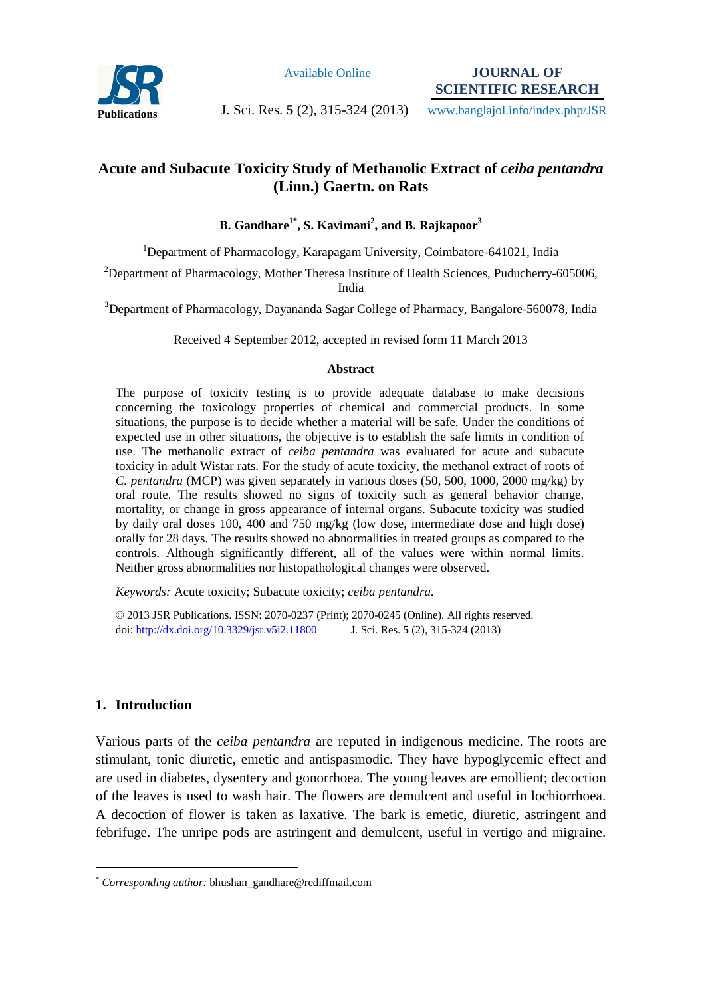

Available Online

**JOURNAL OF SCIENTIFIC RESEARCH** 

**Publications** J. Sci. Res. **5** (2), 315-324 (2013)

www.banglajol.info/index.php/JSR

# **Acute and Subacute Toxicity Study of Methanolic Extract of** *ceiba pentandra* **(Linn.) Gaertn. on Rats**

**B. Gandhare1\*, S. Kavimani<sup>2</sup> , and B. Rajkapoor<sup>3</sup>**

<sup>1</sup>Department of Pharmacology, Karapagam University, Coimbatore-641021, India

<sup>2</sup>Department of Pharmacology, Mother Theresa Institute of Health Sciences, Puducherry-605006, India

**<sup>3</sup>**Department of Pharmacology, Dayananda Sagar College of Pharmacy, Bangalore-560078, India

Received 4 September 2012, accepted in revised form 11 March 2013

#### **Abstract**

The purpose of toxicity testing is to provide adequate database to make decisions concerning the toxicology properties of chemical and commercial products. In some situations, the purpose is to decide whether a material will be safe. Under the conditions of expected use in other situations, the objective is to establish the safe limits in condition of use. The methanolic extract of *ceiba pentandra* was evaluated for acute and subacute toxicity in adult Wistar rats. For the study of acute toxicity, the methanol extract of roots of *C. pentandra* (MCP) was given separately in various doses (50, 500, 1000, 2000 mg/kg) by oral route. The results showed no signs of toxicity such as general behavior change, mortality, or change in gross appearance of internal organs. Subacute toxicity was studied by daily oral doses 100, 400 and 750 mg/kg (low dose, intermediate dose and high dose) orally for 28 days. The results showed no abnormalities in treated groups as compared to the controls. Although significantly different, all of the values were within normal limits. Neither gross abnormalities nor histopathological changes were observed.

*Keywords:* Acute toxicity; Subacute toxicity; *ceiba pentandra*.

© 2013 JSR Publications. ISSN: 2070-0237 (Print); 2070-0245 (Online). All rights reserved. doi: http://dx.doi.org/10.3329/jsr.v5i2.11800 J. Sci. Res. **5** (2), 315-324 (2013)

## **1. Introduction**

 $\overline{a}$ 

Various parts of the *ceiba pentandra* are reputed in indigenous medicine. The roots are stimulant, tonic diuretic, emetic and antispasmodic. They have hypoglycemic effect and are used in diabetes, dysentery and gonorrhoea. The young leaves are emollient; decoction of the leaves is used to wash hair. The flowers are demulcent and useful in lochiorrhoea. A decoction of flower is taken as laxative. The bark is emetic, diuretic, astringent and febrifuge. The unripe pods are astringent and demulcent, useful in vertigo and migraine.

<sup>\*</sup> *Corresponding author:* bhushan\_gandhare@rediffmail.com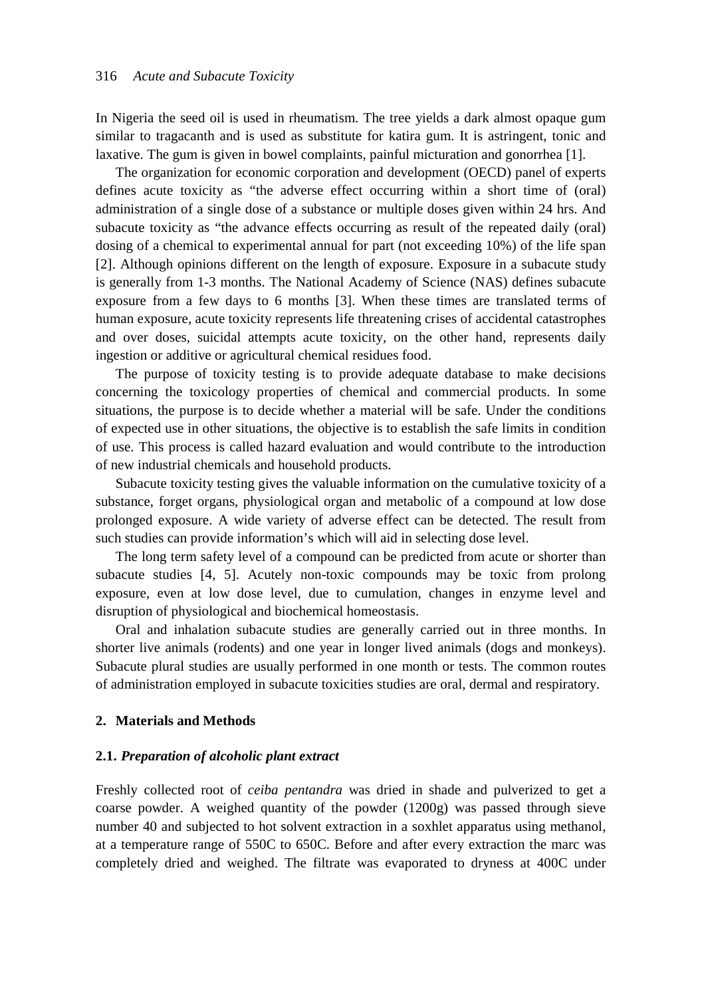In Nigeria the seed oil is used in rheumatism. The tree yields a dark almost opaque gum similar to tragacanth and is used as substitute for katira gum. It is astringent, tonic and laxative. The gum is given in bowel complaints, painful micturation and gonorrhea [1].

The organization for economic corporation and development (OECD) panel of experts defines acute toxicity as "the adverse effect occurring within a short time of (oral) administration of a single dose of a substance or multiple doses given within 24 hrs. And subacute toxicity as "the advance effects occurring as result of the repeated daily (oral) dosing of a chemical to experimental annual for part (not exceeding 10%) of the life span [2]. Although opinions different on the length of exposure. Exposure in a subacute study is generally from 1-3 months. The National Academy of Science (NAS) defines subacute exposure from a few days to 6 months [3]. When these times are translated terms of human exposure, acute toxicity represents life threatening crises of accidental catastrophes and over doses, suicidal attempts acute toxicity, on the other hand, represents daily ingestion or additive or agricultural chemical residues food.

The purpose of toxicity testing is to provide adequate database to make decisions concerning the toxicology properties of chemical and commercial products. In some situations, the purpose is to decide whether a material will be safe. Under the conditions of expected use in other situations, the objective is to establish the safe limits in condition of use. This process is called hazard evaluation and would contribute to the introduction of new industrial chemicals and household products.

Subacute toxicity testing gives the valuable information on the cumulative toxicity of a substance, forget organs, physiological organ and metabolic of a compound at low dose prolonged exposure. A wide variety of adverse effect can be detected. The result from such studies can provide information's which will aid in selecting dose level.

The long term safety level of a compound can be predicted from acute or shorter than subacute studies [4, 5]. Acutely non-toxic compounds may be toxic from prolong exposure, even at low dose level, due to cumulation, changes in enzyme level and disruption of physiological and biochemical homeostasis.

Oral and inhalation subacute studies are generally carried out in three months. In shorter live animals (rodents) and one year in longer lived animals (dogs and monkeys). Subacute plural studies are usually performed in one month or tests. The common routes of administration employed in subacute toxicities studies are oral, dermal and respiratory.

### **2. Materials and Methods**

## **2.1.** *Preparation of alcoholic plant extract*

Freshly collected root of *ceiba pentandra* was dried in shade and pulverized to get a coarse powder. A weighed quantity of the powder (1200g) was passed through sieve number 40 and subjected to hot solvent extraction in a soxhlet apparatus using methanol, at a temperature range of 550C to 650C. Before and after every extraction the marc was completely dried and weighed. The filtrate was evaporated to dryness at 400C under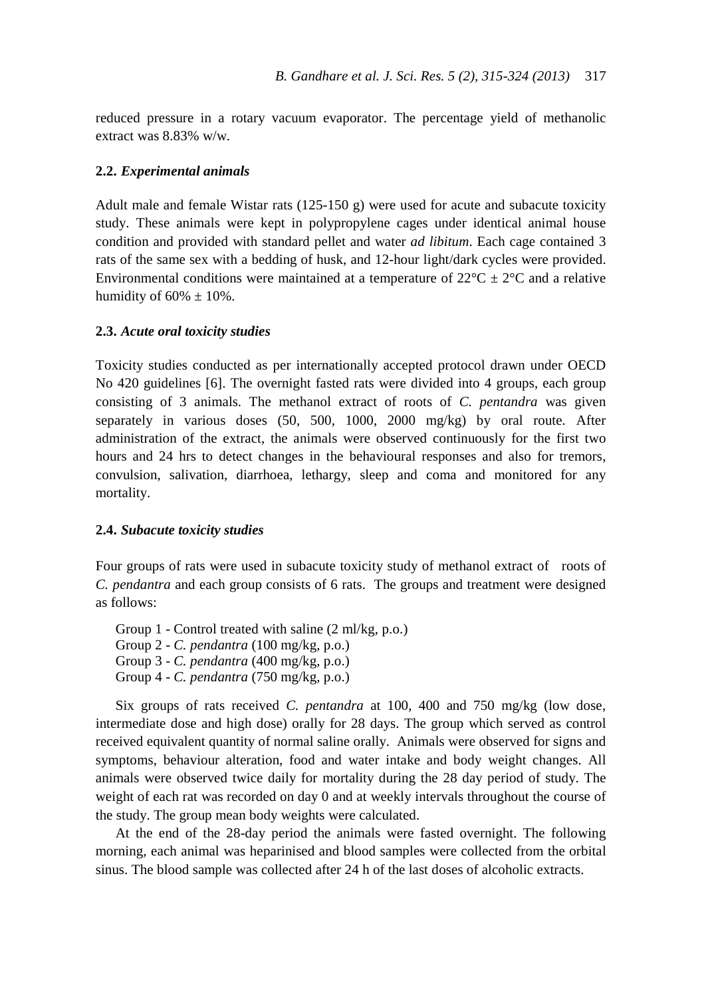reduced pressure in a rotary vacuum evaporator. The percentage yield of methanolic extract was 8.83% w/w.

### **2.2.** *Experimental animals*

Adult male and female Wistar rats  $(125-150 \text{ g})$  were used for acute and subacute toxicity study. These animals were kept in polypropylene cages under identical animal house condition and provided with standard pellet and water *ad libitum*. Each cage contained 3 rats of the same sex with a bedding of husk, and 12-hour light/dark cycles were provided. Environmental conditions were maintained at a temperature of  $22^{\circ}C \pm 2^{\circ}C$  and a relative humidity of  $60\% \pm 10\%$ .

### **2.3.** *Acute oral toxicity studies*

Toxicity studies conducted as per internationally accepted protocol drawn under OECD No 420 guidelines [6]. The overnight fasted rats were divided into 4 groups, each group consisting of 3 animals. The methanol extract of roots of *C. pentandra* was given separately in various doses (50, 500, 1000, 2000 mg/kg) by oral route. After administration of the extract, the animals were observed continuously for the first two hours and 24 hrs to detect changes in the behavioural responses and also for tremors, convulsion, salivation, diarrhoea, lethargy, sleep and coma and monitored for any mortality.

## **2.4.** *Subacute toxicity studies*

Four groups of rats were used in subacute toxicity study of methanol extract of roots of *C. pendantra* and each group consists of 6 rats. The groups and treatment were designed as follows:

Group 1 - Control treated with saline (2 ml/kg, p.o.) Group 2 - *C. pendantra* (100 mg/kg, p.o.) Group 3 - *C. pendantra* (400 mg/kg, p.o.) Group 4 - *C. pendantra* (750 mg/kg, p.o.)

Six groups of rats received *C. pentandra* at 100, 400 and 750 mg/kg (low dose, intermediate dose and high dose) orally for 28 days. The group which served as control received equivalent quantity of normal saline orally. Animals were observed for signs and symptoms, behaviour alteration, food and water intake and body weight changes. All animals were observed twice daily for mortality during the 28 day period of study. The weight of each rat was recorded on day 0 and at weekly intervals throughout the course of the study. The group mean body weights were calculated.

At the end of the 28-day period the animals were fasted overnight. The following morning, each animal was heparinised and blood samples were collected from the orbital sinus. The blood sample was collected after 24 h of the last doses of alcoholic extracts.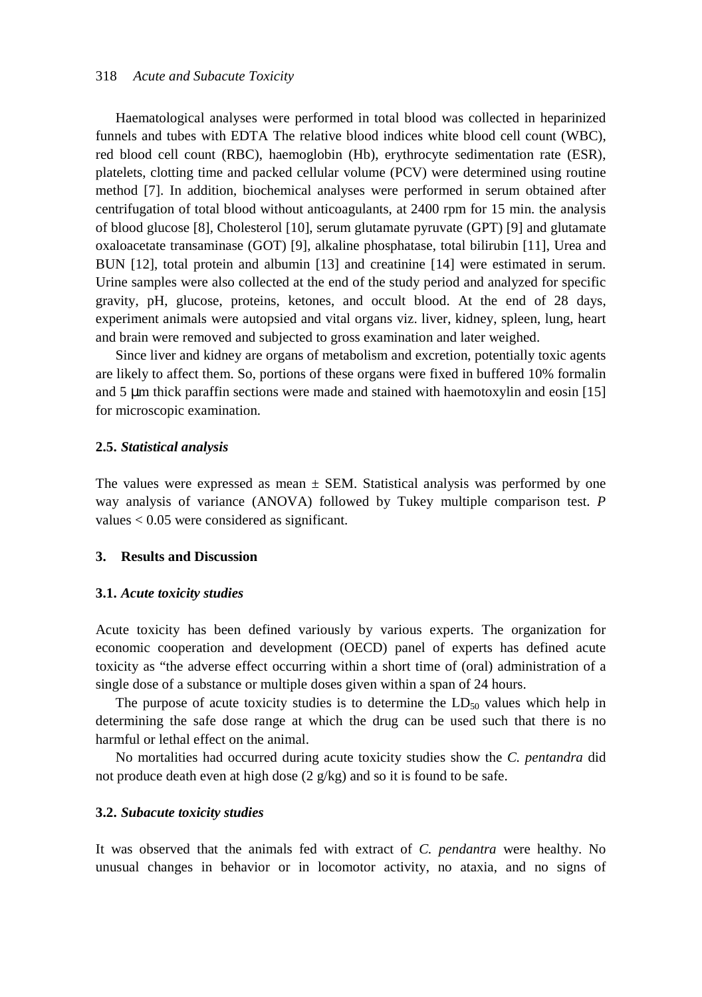#### 318 *Acute and Subacute Toxicity*

Haematological analyses were performed in total blood was collected in heparinized funnels and tubes with EDTA The relative blood indices white blood cell count (WBC), red blood cell count (RBC), haemoglobin (Hb), erythrocyte sedimentation rate (ESR), platelets, clotting time and packed cellular volume (PCV) were determined using routine method [7]. In addition, biochemical analyses were performed in serum obtained after centrifugation of total blood without anticoagulants, at 2400 rpm for 15 min. the analysis of blood glucose [8], Cholesterol [10], serum glutamate pyruvate (GPT) [9] and glutamate oxaloacetate transaminase (GOT) [9], alkaline phosphatase, total bilirubin [11], Urea and BUN [12], total protein and albumin [13] and creatinine [14] were estimated in serum. Urine samples were also collected at the end of the study period and analyzed for specific gravity, pH, glucose, proteins, ketones, and occult blood. At the end of 28 days, experiment animals were autopsied and vital organs viz. liver, kidney, spleen, lung, heart and brain were removed and subjected to gross examination and later weighed.

Since liver and kidney are organs of metabolism and excretion, potentially toxic agents are likely to affect them. So, portions of these organs were fixed in buffered 10% formalin and  $5 \mu$ m thick paraffin sections were made and stained with haemotoxylin and eosin [15] for microscopic examination.

### **2.5.** *Statistical analysis*

The values were expressed as mean  $\pm$  SEM. Statistical analysis was performed by one way analysis of variance (ANOVA) followed by Tukey multiple comparison test. *P* values < 0.05 were considered as significant.

## **3. Results and Discussion**

#### **3.1.** *Acute toxicity studies*

Acute toxicity has been defined variously by various experts. The organization for economic cooperation and development (OECD) panel of experts has defined acute toxicity as "the adverse effect occurring within a short time of (oral) administration of a single dose of a substance or multiple doses given within a span of 24 hours.

The purpose of acute toxicity studies is to determine the  $LD_{50}$  values which help in determining the safe dose range at which the drug can be used such that there is no harmful or lethal effect on the animal.

No mortalities had occurred during acute toxicity studies show the *C. pentandra* did not produce death even at high dose (2 g/kg) and so it is found to be safe.

## **3.2.** *Subacute toxicity studies*

It was observed that the animals fed with extract of *C. pendantra* were healthy. No unusual changes in behavior or in locomotor activity, no ataxia, and no signs of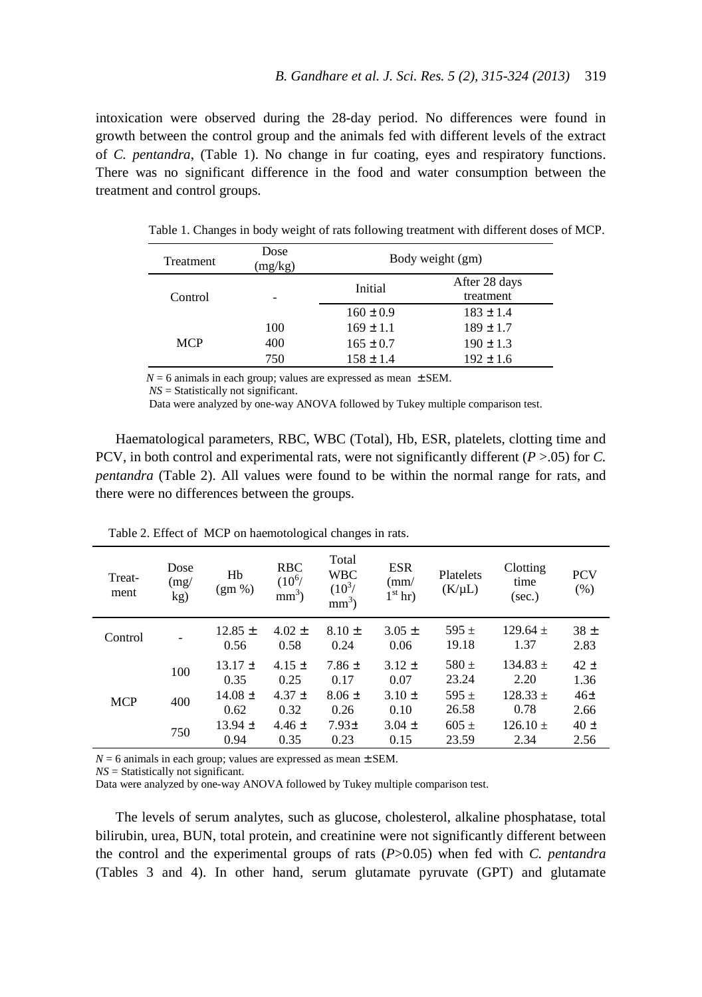intoxication were observed during the 28-day period. No differences were found in growth between the control group and the animals fed with different levels of the extract of *C. pentandra*, (Table 1). No change in fur coating, eyes and respiratory functions. There was no significant difference in the food and water consumption between the treatment and control groups.

| Treatment  | Dose<br>(mg/kg) | Body weight (gm) |                            |  |  |  |
|------------|-----------------|------------------|----------------------------|--|--|--|
| Control    |                 | Initial          | After 28 days<br>treatment |  |  |  |
|            |                 | $160 \pm 0.9$    | $183 \pm 1.4$              |  |  |  |
|            | 100             | $169 \pm 1.1$    | $189 \pm 1.7$              |  |  |  |
| <b>MCP</b> | 400             | $165 \pm 0.7$    | $190 \pm 1.3$              |  |  |  |
|            | 750             | $158 \pm 1.4$    | $192 \pm 1.6$              |  |  |  |

Table 1. Changes in body weight of rats following treatment with different doses of MCP.

 $N = 6$  animals in each group; values are expressed as mean  $\pm$  SEM.

 *NS* = Statistically not significant.

Data were analyzed by one-way ANOVA followed by Tukey multiple comparison test.

Haematological parameters, RBC, WBC (Total), Hb, ESR, platelets, clotting time and PCV, in both control and experimental rats, were not significantly different (*P* >.05) for *C. pentandra* (Table 2). All values were found to be within the normal range for rats, and there were no differences between the groups.

| Treat-<br>ment | Dose<br>(mg)<br>kg)      | Hb<br>$(gm\% )$     | <b>RBC</b><br>$(10^6)$<br>$mm3$ ) | Total<br><b>WBC</b><br>$(10^3)$<br>$mm3$ ) | <b>ESR</b><br>$\rm (mm/$<br>$1st$ hr) | Platelets<br>(K/uL) | Clotting<br>time<br>(sec.) | <b>PCV</b><br>(% )      |
|----------------|--------------------------|---------------------|-----------------------------------|--------------------------------------------|---------------------------------------|---------------------|----------------------------|-------------------------|
| Control        | $\overline{\phantom{a}}$ | $12.85 \pm$<br>0.56 | $4.02 \pm$<br>0.58                | $8.10 \pm$<br>0.24                         | $3.05 \pm$<br>0.06                    | $595 \pm$<br>19.18  | $129.64 +$<br>1.37         | 38 <sub>±</sub><br>2.83 |
|                | 100                      | $13.17 \pm$<br>0.35 | $4.15 \pm$<br>0.25                | $7.86 \pm$<br>0.17                         | $3.12 \pm$<br>0.07                    | $580 \pm$<br>23.24  | $134.83 \pm$<br>2.20       | $42 \pm$<br>1.36        |
| <b>MCP</b>     | 400                      | $14.08 \pm$<br>0.62 | $4.37 \pm$<br>0.32                | $8.06 \pm$<br>0.26                         | $3.10 \pm$<br>0.10                    | $595 +$<br>26.58    | $128.33 +$<br>0.78         | $46\pm$<br>2.66         |
|                | 750                      | $13.94 \pm$<br>0.94 | $4.46 \pm$<br>0.35                | 7.93±<br>0.23                              | $3.04 \pm$<br>0.15                    | $605 \pm$<br>23.59  | $126.10 +$<br>2.34         | $40 \pm$<br>2.56        |

Table 2. Effect of MCP on haemotological changes in rats.

 $N = 6$  animals in each group; values are expressed as mean  $\pm$  SEM.

*NS* = Statistically not significant.

Data were analyzed by one-way ANOVA followed by Tukey multiple comparison test.

The levels of serum analytes, such as glucose, cholesterol, alkaline phosphatase, total bilirubin, urea, BUN, total protein, and creatinine were not significantly different between the control and the experimental groups of rats (*P*>0.05) when fed with *C. pentandra* (Tables 3 and 4). In other hand, serum glutamate pyruvate (GPT) and glutamate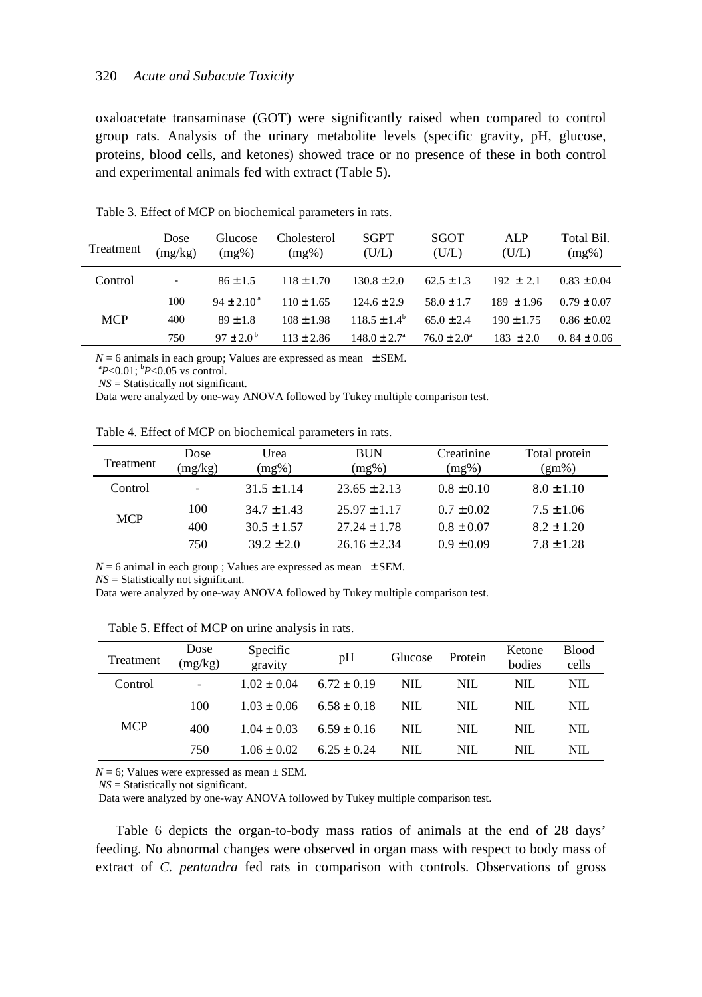oxaloacetate transaminase (GOT) were significantly raised when compared to control group rats. Analysis of the urinary metabolite levels (specific gravity, pH, glucose, proteins, blood cells, and ketones) showed trace or no presence of these in both control and experimental animals fed with extract (Table 5).

| Treatment  | Dose<br>(mg/kg) | Glucose<br>$(mg\%)$      | Cholesterol<br>(mg%) | <b>SGPT</b><br>(U/L)    | SGOT<br>(U/L)          | AL P<br>(U/L)  | Total Bil.<br>$(mg\%)$ |
|------------|-----------------|--------------------------|----------------------|-------------------------|------------------------|----------------|------------------------|
| Control    | ۰               | $86 \pm 1.5$             | $118 \pm 1.70$       | $130.8 \pm 2.0$         | $62.5 \pm 1.3$         | $192 \pm 2.1$  | $0.83 \pm 0.04$        |
|            | 100             | $94 \pm 2.10^{\text{a}}$ | $110 \pm 1.65$       | $124.6 \pm 2.9$         | $58.0 \pm 1.7$         | $189 \pm 1.96$ | $0.79 \pm 0.07$        |
| <b>MCP</b> | 400             | $89 \pm 1.8$             | $108 \pm 1.98$       | $118.5 \pm 1.4^b$       | $65.0 \pm 2.4$         | $190 \pm 1.75$ | $0.86 \pm 0.02$        |
|            | 750             | $97 \pm 2.0^{\circ}$     | $113 \pm 2.86$       | $148.0 \pm 2.7^{\circ}$ | $76.0 \pm 2.0^{\circ}$ | $183 \pm 2.0$  | $0.84 \pm 0.06$        |

Table 3. Effect of MCP on biochemical parameters in rats.

 $N = 6$  animals in each group; Values are expressed as mean  $\pm$  SEM.

 $^{a}P<0.01$ ;  $^{b}P<0.05$  vs control.

*NS* = Statistically not significant.

Data were analyzed by one-way ANOVA followed by Tukey multiple comparison test.

Table 4. Effect of MCP on biochemical parameters in rats.

| <b>Treatment</b> | Dose<br>(mg/kg)          | Urea<br>(mg%)   | <b>BUN</b><br>(mg%) | Creatinine<br>$(mg\%)$ | Total protein<br>$(gm\%)$ |
|------------------|--------------------------|-----------------|---------------------|------------------------|---------------------------|
| Control          | $\overline{\phantom{a}}$ | $31.5 \pm 1.14$ | $23.65 \pm 2.13$    | $0.8 \pm 0.10$         | $8.0 \pm 1.10$            |
| <b>MCP</b>       | 100                      | $34.7 \pm 1.43$ | $25.97 \pm 1.17$    | $0.7 \pm 0.02$         | $7.5 \pm 1.06$            |
|                  | 400                      | $30.5 \pm 1.57$ | $27.24 \pm 1.78$    | $0.8 \pm 0.07$         | $8.2 \pm 1.20$            |
|                  | 750                      | $39.2 \pm 2.0$  | $26.16 \pm 2.34$    | $0.9 \pm 0.09$         | $7.8 \pm 1.28$            |

 $N = 6$  animal in each group ; Values are expressed as mean  $\pm$  SEM.

*NS* = Statistically not significant.

Data were analyzed by one-way ANOVA followed by Tukey multiple comparison test.

| Table 5. Effect of MCP on urine analysis in rats. |
|---------------------------------------------------|
|---------------------------------------------------|

| Treatment  | Dose<br>(mg/kg)              | Specific<br>gravity | pH            | Glucose | Protein | Ketone<br>bodies | <b>Blood</b><br>cells |
|------------|------------------------------|---------------------|---------------|---------|---------|------------------|-----------------------|
| Control    | $\qquad \qquad \blacksquare$ | $1.02 + 0.04$       | $6.72 + 0.19$ | NIL.    | NIL.    | NIL.             | NIL                   |
|            | 100                          | $1.03 + 0.06$       | $6.58 + 0.18$ | NIL.    | NIL.    | NIL.             | NIL.                  |
| <b>MCP</b> | 400                          | $1.04 + 0.03$       | $6.59 + 0.16$ | NIL.    | NIL.    | NIL.             | NIL.                  |
|            | 750                          | $1.06 + 0.02$       | $6.25 + 0.24$ | NIL.    | NIL.    | NIL.             | NIL.                  |

 $N = 6$ ; Values were expressed as mean  $\pm$  SEM.

 *NS* = Statistically not significant.

Data were analyzed by one-way ANOVA followed by Tukey multiple comparison test.

Table 6 depicts the organ-to-body mass ratios of animals at the end of 28 days' feeding. No abnormal changes were observed in organ mass with respect to body mass of extract of *C. pentandra* fed rats in comparison with controls. Observations of gross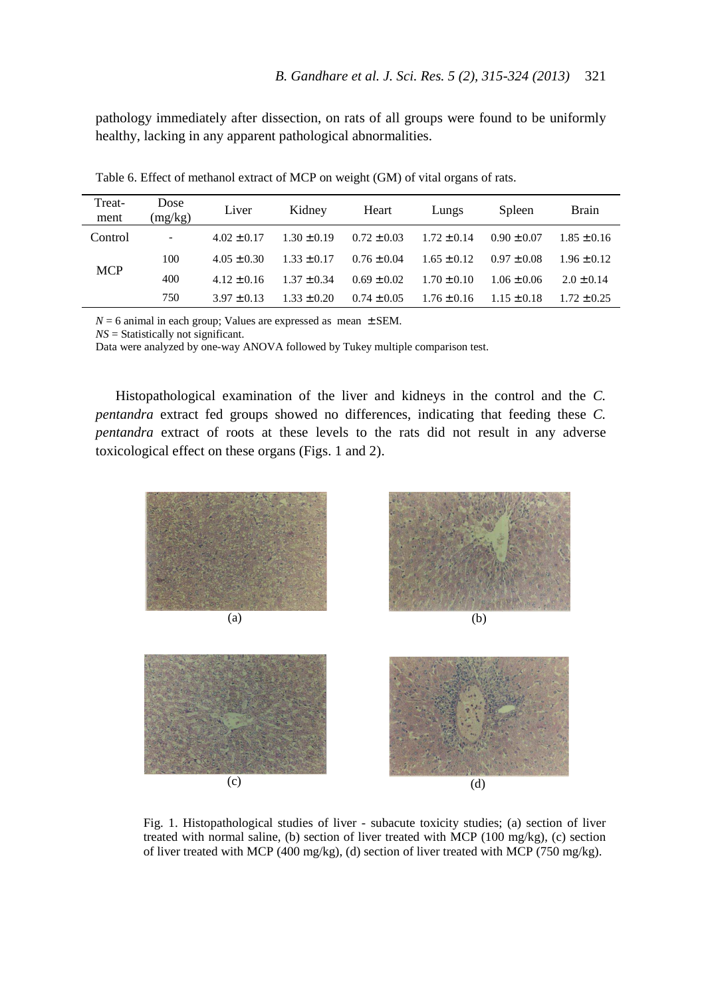pathology immediately after dissection, on rats of all groups were found to be uniformly healthy, lacking in any apparent pathological abnormalities.

| Treat-<br>ment | Dose<br>(mg/kg) | Liver           | Kidney          | Heart           | Lungs           | Spleen          | <b>Brain</b>    |
|----------------|-----------------|-----------------|-----------------|-----------------|-----------------|-----------------|-----------------|
| Control        | -               | $4.02 \pm 0.17$ | $1.30 \pm 0.19$ | $0.72 \pm 0.03$ | $1.72 \pm 0.14$ | $0.90 \pm 0.07$ | $1.85 \pm 0.16$ |
|                | 100             | $4.05 \pm 0.30$ | $1.33 \pm 0.17$ | $0.76 \pm 0.04$ | $1.65 \pm 0.12$ | $0.97 \pm 0.08$ | $1.96 \pm 0.12$ |
| <b>MCP</b>     | 400             | $4.12 \pm 0.16$ | $1.37 + 0.34$   | $0.69 \pm 0.02$ | $1.70 \pm 0.10$ | $1.06 \pm 0.06$ | $2.0 \pm 0.14$  |
|                | 750             | $3.97 \pm 0.13$ | $1.33 \pm 0.20$ | $0.74 \pm 0.05$ | $1.76 \pm 0.16$ | $1.15 \pm 0.18$ | $1.72 \pm 0.25$ |

Table 6. Effect of methanol extract of MCP on weight (GM) of vital organs of rats.

 $N = 6$  animal in each group; Values are expressed as mean  $\pm$  SEM.

*NS* = Statistically not significant.

Data were analyzed by one-way ANOVA followed by Tukey multiple comparison test.

Histopathological examination of the liver and kidneys in the control and the *C. pentandra* extract fed groups showed no differences, indicating that feeding these *C. pentandra* extract of roots at these levels to the rats did not result in any adverse toxicological effect on these organs (Figs. 1 and 2).









Fig. 1. Histopathological studies of liver - subacute toxicity studies; (a) section of liver treated with normal saline, (b) section of liver treated with MCP (100 mg/kg), (c) section of liver treated with MCP (400 mg/kg), (d) section of liver treated with MCP (750 mg/kg).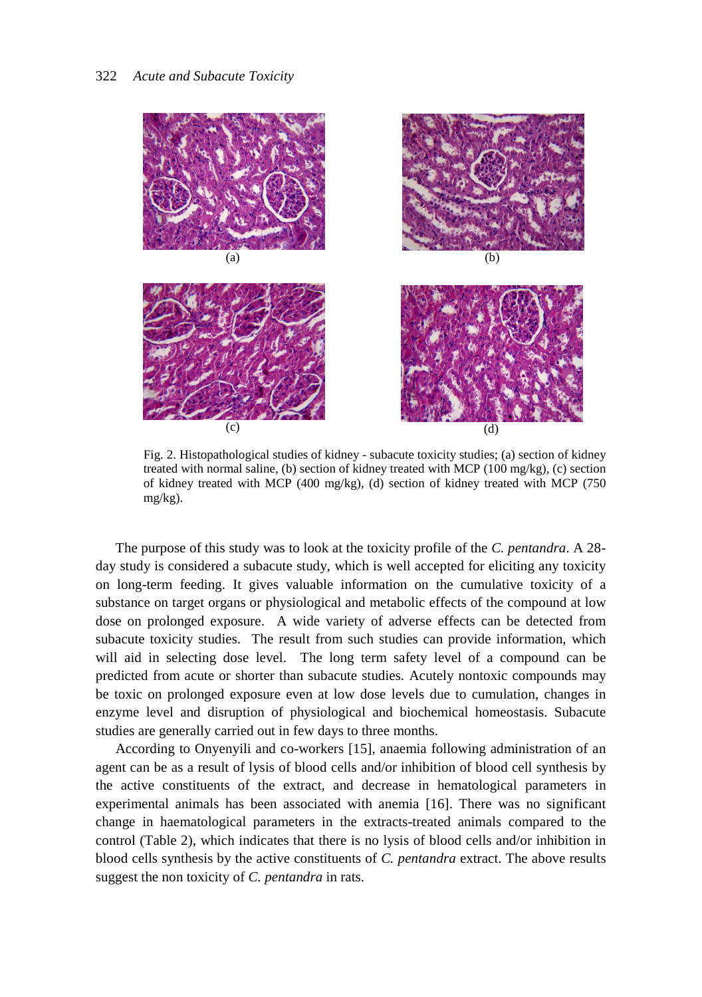

Fig. 2. Histopathological studies of kidney - subacute toxicity studies; (a) section of kidney treated with normal saline, (b) section of kidney treated with MCP (100 mg/kg), (c) section of kidney treated with MCP (400 mg/kg), (d) section of kidney treated with MCP (750 mg/kg).

The purpose of this study was to look at the toxicity profile of the *C. pentandra*. A 28 day study is considered a subacute study, which is well accepted for eliciting any toxicity on long-term feeding. It gives valuable information on the cumulative toxicity of a substance on target organs or physiological and metabolic effects of the compound at low dose on prolonged exposure. A wide variety of adverse effects can be detected from subacute toxicity studies. The result from such studies can provide information, which will aid in selecting dose level. The long term safety level of a compound can be predicted from acute or shorter than subacute studies. Acutely nontoxic compounds may be toxic on prolonged exposure even at low dose levels due to cumulation, changes in enzyme level and disruption of physiological and biochemical homeostasis. Subacute studies are generally carried out in few days to three months.

According to Onyenyili and co-workers [15], anaemia following administration of an agent can be as a result of lysis of blood cells and/or inhibition of blood cell synthesis by the active constituents of the extract, and decrease in hematological parameters in experimental animals has been associated with anemia [16]. There was no significant change in haematological parameters in the extracts-treated animals compared to the control (Table 2), which indicates that there is no lysis of blood cells and/or inhibition in blood cells synthesis by the active constituents of *C. pentandra* extract. The above results suggest the non toxicity of *C. pentandra* in rats.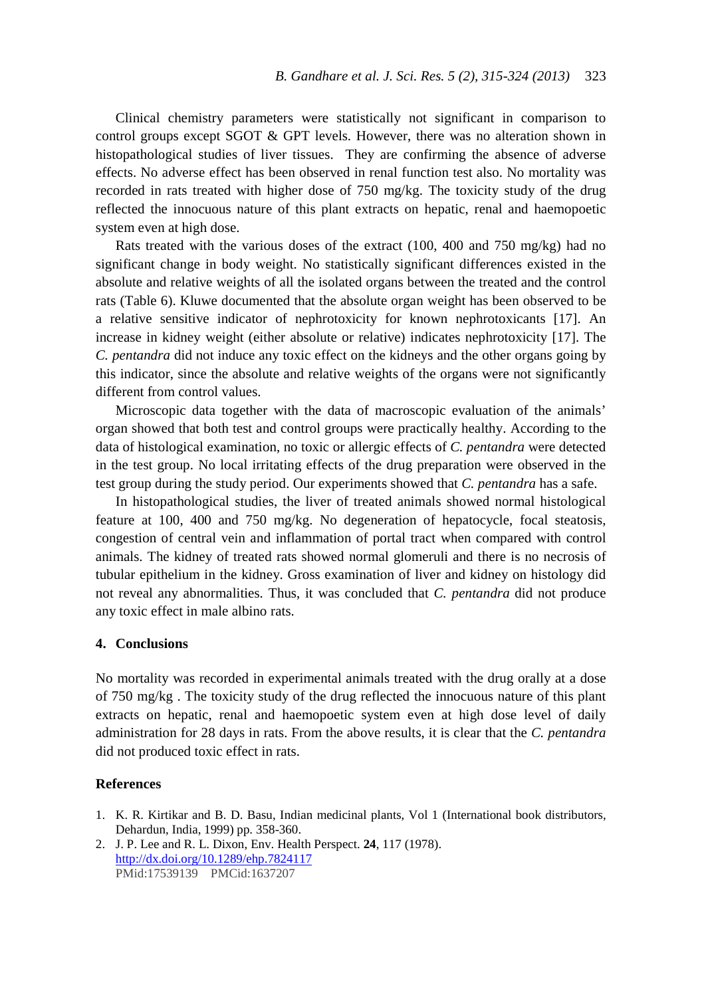Clinical chemistry parameters were statistically not significant in comparison to control groups except SGOT  $\&$  GPT levels. However, there was no alteration shown in histopathological studies of liver tissues. They are confirming the absence of adverse effects. No adverse effect has been observed in renal function test also. No mortality was recorded in rats treated with higher dose of 750 mg/kg. The toxicity study of the drug reflected the innocuous nature of this plant extracts on hepatic, renal and haemopoetic system even at high dose.

Rats treated with the various doses of the extract (100, 400 and 750 mg/kg) had no significant change in body weight. No statistically significant differences existed in the absolute and relative weights of all the isolated organs between the treated and the control rats (Table 6). Kluwe documented that the absolute organ weight has been observed to be a relative sensitive indicator of nephrotoxicity for known nephrotoxicants [17]. An increase in kidney weight (either absolute or relative) indicates nephrotoxicity [17]. The *C. pentandra* did not induce any toxic effect on the kidneys and the other organs going by this indicator, since the absolute and relative weights of the organs were not significantly different from control values.

Microscopic data together with the data of macroscopic evaluation of the animals' organ showed that both test and control groups were practically healthy. According to the data of histological examination, no toxic or allergic effects of *C. pentandra* were detected in the test group. No local irritating effects of the drug preparation were observed in the test group during the study period. Our experiments showed that *C. pentandra* has a safe.

In histopathological studies, the liver of treated animals showed normal histological feature at 100, 400 and 750 mg/kg. No degeneration of hepatocycle, focal steatosis, congestion of central vein and inflammation of portal tract when compared with control animals. The kidney of treated rats showed normal glomeruli and there is no necrosis of tubular epithelium in the kidney. Gross examination of liver and kidney on histology did not reveal any abnormalities. Thus, it was concluded that *C. pentandra* did not produce any toxic effect in male albino rats.

## **4. Conclusions**

No mortality was recorded in experimental animals treated with the drug orally at a dose of 750 mg/kg . The toxicity study of the drug reflected the innocuous nature of this plant extracts on hepatic, renal and haemopoetic system even at high dose level of daily administration for 28 days in rats. From the above results, it is clear that the *C. pentandra* did not produced toxic effect in rats.

## **References**

- 1. K. R. Kirtikar and B. D. Basu, Indian medicinal plants, Vol 1 (International book distributors, Dehardun, India, 1999) pp. 358-360.
- 2. J. P. Lee and R. L. Dixon, Env. Health Perspect. **24**, 117 (1978). http://dx.doi.org/10.1289/ehp.7824117 PMid:17539139 PMCid:1637207